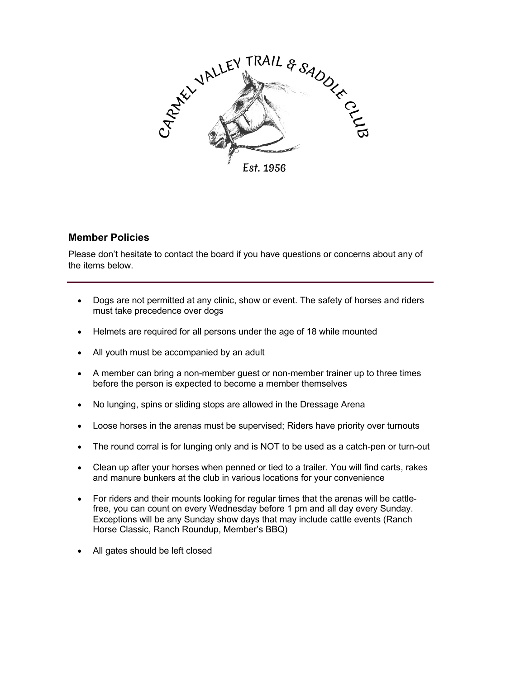

## **Member Policies**

Please don't hesitate to contact the board if you have questions or concerns about any of the items below.

- Dogs are not permitted at any clinic, show or event. The safety of horses and riders must take precedence over dogs
- Helmets are required for all persons under the age of 18 while mounted
- All youth must be accompanied by an adult
- A member can bring a non-member guest or non-member trainer up to three times before the person is expected to become a member themselves
- No lunging, spins or sliding stops are allowed in the Dressage Arena
- Loose horses in the arenas must be supervised; Riders have priority over turnouts
- The round corral is for lunging only and is NOT to be used as a catch-pen or turn-out
- Clean up after your horses when penned or tied to a trailer. You will find carts, rakes and manure bunkers at the club in various locations for your convenience
- For riders and their mounts looking for regular times that the arenas will be cattlefree, you can count on every Wednesday before 1 pm and all day every Sunday. Exceptions will be any Sunday show days that may include cattle events (Ranch Horse Classic, Ranch Roundup, Member's BBQ)
- All gates should be left closed